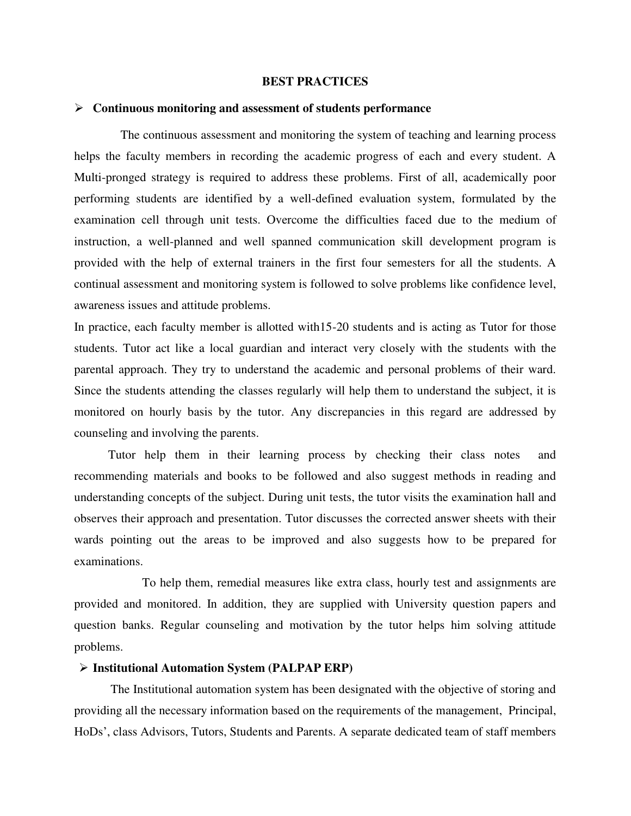### **BEST PRACTICES**

### **Continuous monitoring and assessment of students performance**

 The continuous assessment and monitoring the system of teaching and learning process helps the faculty members in recording the academic progress of each and every student. A Multi-pronged strategy is required to address these problems. First of all, academically poor performing students are identified by a well-defined evaluation system, formulated by the examination cell through unit tests. Overcome the difficulties faced due to the medium of instruction, a well-planned and well spanned communication skill development program is provided with the help of external trainers in the first four semesters for all the students. A continual assessment and monitoring system is followed to solve problems like confidence level, awareness issues and attitude problems.

In practice, each faculty member is allotted with15-20 students and is acting as Tutor for those students. Tutor act like a local guardian and interact very closely with the students with the parental approach. They try to understand the academic and personal problems of their ward. Since the students attending the classes regularly will help them to understand the subject, it is monitored on hourly basis by the tutor. Any discrepancies in this regard are addressed by counseling and involving the parents.

 Tutor help them in their learning process by checking their class notes and recommending materials and books to be followed and also suggest methods in reading and understanding concepts of the subject. During unit tests, the tutor visits the examination hall and observes their approach and presentation. Tutor discusses the corrected answer sheets with their wards pointing out the areas to be improved and also suggests how to be prepared for examinations.

 To help them, remedial measures like extra class, hourly test and assignments are provided and monitored. In addition, they are supplied with University question papers and question banks. Regular counseling and motivation by the tutor helps him solving attitude problems.

### **Institutional Automation System (PALPAP ERP)**

The Institutional automation system has been designated with the objective of storing and providing all the necessary information based on the requirements of the management, Principal, HoDs', class Advisors, Tutors, Students and Parents. A separate dedicated team of staff members